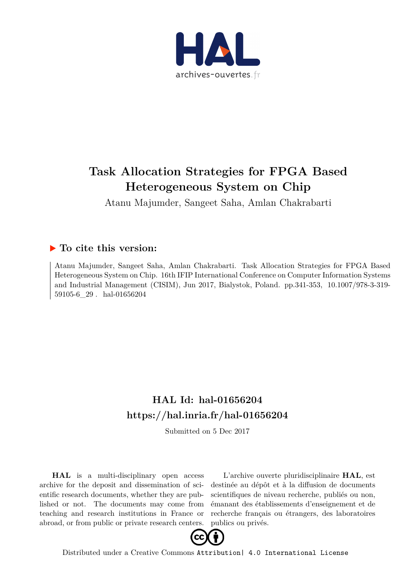

# **Task Allocation Strategies for FPGA Based Heterogeneous System on Chip**

Atanu Majumder, Sangeet Saha, Amlan Chakrabarti

## **To cite this version:**

Atanu Majumder, Sangeet Saha, Amlan Chakrabarti. Task Allocation Strategies for FPGA Based Heterogeneous System on Chip. 16th IFIP International Conference on Computer Information Systems and Industrial Management (CISIM), Jun 2017, Bialystok, Poland. pp.341-353, 10.1007/978-3-319- $59105\hbox{-}6\_29$  . hal-01656204

# **HAL Id: hal-01656204 <https://hal.inria.fr/hal-01656204>**

Submitted on 5 Dec 2017

**HAL** is a multi-disciplinary open access archive for the deposit and dissemination of scientific research documents, whether they are published or not. The documents may come from teaching and research institutions in France or abroad, or from public or private research centers.

L'archive ouverte pluridisciplinaire **HAL**, est destinée au dépôt et à la diffusion de documents scientifiques de niveau recherche, publiés ou non, émanant des établissements d'enseignement et de recherche français ou étrangers, des laboratoires publics ou privés.



Distributed under a Creative Commons [Attribution| 4.0 International License](http://creativecommons.org/licenses/by/4.0/)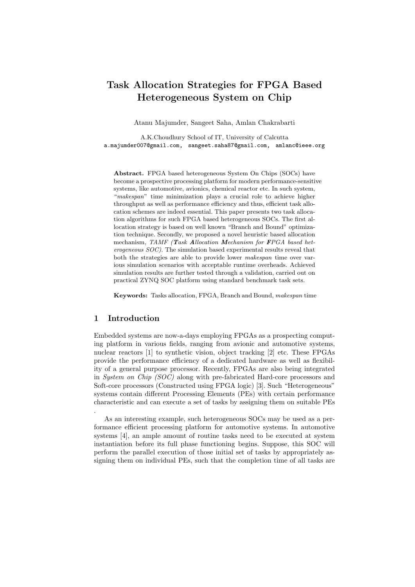## Task Allocation Strategies for FPGA Based Heterogeneous System on Chip

Atanu Majumder, Sangeet Saha, Amlan Chakrabarti

A.K.Choudhury School of IT, University of Calcutta a.majumder007@gmail.com, sangeet.saha87@gmail.com, amlanc@ieee.org

Abstract. FPGA based heterogeneous System On Chips (SOCs) have become a prospective processing platform for modern performance-sensitive systems, like automotive, avionics, chemical reactor etc. In such system, "*makespan*" time minimization plays a crucial role to achieve higher throughput as well as performance efficiency and thus, efficient task allocation schemes are indeed essential. This paper presents two task allocation algorithms for such FPGA based heterogeneous SOCs. The first allocation strategy is based on well known "Branch and Bound" optimization technique. Secondly, we proposed a novel heuristic based allocation mechanism, TAMF (Task Allocation Mechanism for FPGA based heterogeneous SOC). The simulation based experimental results reveal that both the strategies are able to provide lower makespan time over various simulation scenarios with acceptable runtime overheads. Achieved simulation results are further tested through a validation, carried out on practical ZYNQ SOC platform using standard benchmark task sets.

Keywords: Tasks allocation, FPGA, Branch and Bound, makespan time

### 1 Introduction

.

Embedded systems are now-a-days employing FPGAs as a prospecting computing platform in various fields, ranging from avionic and automotive systems, nuclear reactors [1] to synthetic vision, object tracking [2] etc. These FPGAs provide the performance efficiency of a dedicated hardware as well as flexibility of a general purpose processor. Recently, FPGAs are also being integrated in System on Chip (SOC) along with pre-fabricated Hard-core processors and Soft-core processors (Constructed using FPGA logic) [3]. Such "Heterogeneous" systems contain different Processing Elements (PEs) with certain performance characteristic and can execute a set of tasks by assigning them on suitable PEs

As an interesting example, such heterogeneous SOCs may be used as a performance efficient processing platform for automotive systems. In automotive systems [4], an ample amount of routine tasks need to be executed at system instantiation before its full phase functioning begins. Suppose, this SOC will perform the parallel execution of those initial set of tasks by appropriately assigning them on individual PEs, such that the completion time of all tasks are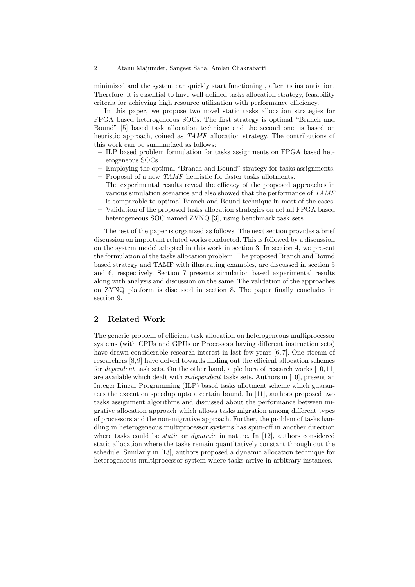#### 2 Atanu Majumder, Sangeet Saha, Amlan Chakrabarti

minimized and the system can quickly start functioning , after its instantiation. Therefore, it is essential to have well defined tasks allocation strategy, feasibility criteria for achieving high resource utilization with performance efficiency.

In this paper, we propose two novel static tasks allocation strategies for FPGA based heterogeneous SOCs. The first strategy is optimal "Branch and Bound" [5] based task allocation technique and the second one, is based on heuristic approach, coined as TAMF allocation strategy. The contributions of this work can be summarized as follows:

- ILP based problem formulation for tasks assignments on FPGA based heterogeneous SOCs.
- Employing the optimal "Branch and Bound" strategy for tasks assignments.  $-$  Proposal of a new TAMF heuristic for faster tasks allotments.
- 
- The experimental results reveal the efficacy of the proposed approaches in various simulation scenarios and also showed that the performance of TAMF is comparable to optimal Branch and Bound technique in most of the cases.
- Validation of the proposed tasks allocation strategies on actual FPGA based heterogeneous SOC named ZYNQ [3], using benchmark task sets.

The rest of the paper is organized as follows. The next section provides a brief discussion on important related works conducted. This is followed by a discussion on the system model adopted in this work in section 3. In section 4, we present the formulation of the tasks allocation problem. The proposed Branch and Bound based strategy and TAMF with illustrating examples, are discussed in section 5 and 6, respectively. Section 7 presents simulation based experimental results along with analysis and discussion on the same. The validation of the approaches on ZYNQ platform is discussed in section 8. The paper finally concludes in section 9.

### 2 Related Work

The generic problem of efficient task allocation on heterogeneous multiprocessor systems (with CPUs and GPUs or Processors having different instruction sets) have drawn considerable research interest in last few years [6, 7]. One stream of researchers [8,9] have delved towards finding out the efficient allocation schemes for *dependent* task sets. On the other hand, a plethora of research works [10,11] are available which dealt with independent tasks sets. Authors in [10], present an Integer Linear Programming (ILP) based tasks allotment scheme which guarantees the execution speedup upto a certain bound. In [11], authors proposed two tasks assignment algorithms and discussed about the performance between migrative allocation approach which allows tasks migration among different types of processors and the non-migrative approach. Further, the problem of tasks handling in heterogeneous multiprocessor systems has spun-off in another direction where tasks could be *static* or *dynamic* in nature. In [12], authors considered static allocation where the tasks remain quantitatively constant through out the schedule. Similarly in [13], authors proposed a dynamic allocation technique for heterogeneous multiprocessor system where tasks arrive in arbitrary instances.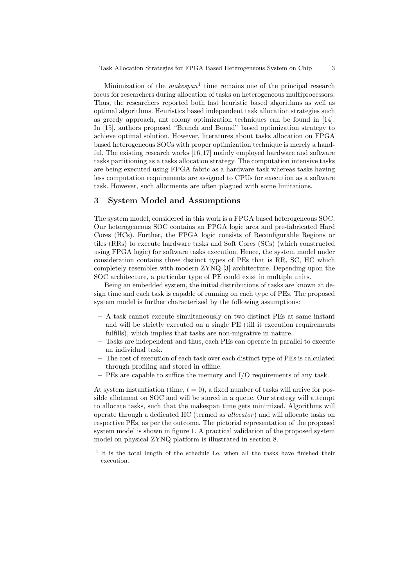Minimization of the  $makespan<sup>1</sup>$  time remains one of the principal research focus for researchers during allocation of tasks on heterogeneous multiprocessors. Thus, the researchers reported both fast heuristic based algorithms as well as optimal algorithms. Heuristics based independent task allocation strategies such as greedy approach, ant colony optimization techniques can be found in [14]. In [15], authors proposed "Branch and Bound" based optimization strategy to achieve optimal solution. However, literatures about tasks allocation on FPGA based heterogeneous SOCs with proper optimization technique is merely a handful. The existing research works [16,17] mainly employed hardware and software tasks partitioning as a tasks allocation strategy. The computation intensive tasks are being executed using FPGA fabric as a hardware task whereas tasks having less computation requirements are assigned to CPUs for execution as a software task. However, such allotments are often plagued with some limitations.

### 3 System Model and Assumptions

The system model, considered in this work is a FPGA based heterogeneous SOC. Our heterogeneous SOC contains an FPGA logic area and pre-fabricated Hard Cores (HCs). Further, the FPGA logic consists of Reconfigurable Regions or tiles (RRs) to execute hardware tasks and Soft Cores (SCs) (which constructed using FPGA logic) for software tasks execution. Hence, the system model under consideration contains three distinct types of PEs that is RR, SC, HC which completely resembles with modern ZYNQ [3] architecture. Depending upon the SOC architecture, a particular type of PE could exist in multiple units.

Being an embedded system, the initial distributions of tasks are known at design time and each task is capable of running on each type of PEs. The proposed system model is further characterized by the following assumptions:

- A task cannot execute simultaneously on two distinct PEs at same instant and will be strictly executed on a single PE (till it execution requirements fulfills), which implies that tasks are non-migrative in nature.
- Tasks are independent and thus, each PEs can operate in parallel to execute an individual task.
- The cost of execution of each task over each distinct type of PEs is calculated through profiling and stored in offline.
- PEs are capable to suffice the memory and I/O requirements of any task.

At system instantiation (time,  $t = 0$ ), a fixed number of tasks will arrive for possible allotment on SOC and will be stored in a queue. Our strategy will attempt to allocate tasks, such that the makespan time gets minimized. Algorithms will operate through a dedicated HC (termed as allocator ) and will allocate tasks on respective PEs, as per the outcome. The pictorial representation of the proposed system model is shown in figure 1. A practical validation of the proposed system model on physical ZYNQ platform is illustrated in section 8.

<sup>&</sup>lt;sup>1</sup> It is the total length of the schedule i.e. when all the tasks have finished their execution.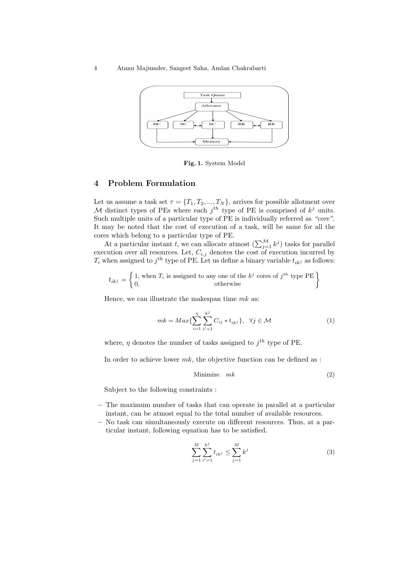4 Atanu Majumder, Sangeet Saha, Amlan Chakrabarti



Fig. 1. System Model

## 4 Problem Formulation

Let us assume a task set  $\tau = \{T_1, T_2, ..., T_N\}$ , arrives for possible allotment over M distinct types of PEs where each  $j<sup>th</sup>$  type of PE is comprised of  $k<sup>j</sup>$  units. Such multiple units of a particular type of PE is individually referred as "core". It may be noted that the cost of execution of a task, will be same for all the cores which belong to a particular type of PE.

At a particular instant t, we can allocate at to  $(\sum_{j=1}^{M} k^{j})$  tasks for parallel execution over all resources. Let,  $C_{i,j}$  denotes the cost of execution incurred by  $T_i$  when assigned to  $j^{th}$  type of PE. Let us define a binary variable  $t_{ikj}$  as follows:

$$
t_{ik^j} = \begin{cases} 1, \text{ when } T_i \text{ is assigned to any one of the } k^j \text{ cores of } j^{th} \text{ type PE} \\ 0, \text{ otherwise} \end{cases}
$$

Hence, we can illustrate the makespan time  $mk$  as:

$$
mk = Max \{ \sum_{i=1}^{n} \sum_{i'=1}^{k^j} C_{ij} * t_{ik} \}, \ \ \forall j \in \mathcal{M}
$$
 (1)

where,  $\eta$  denotes the number of tasks assigned to  $j^{th}$  type of PE.

In order to achieve lower  $mk$ , the objective function can be defined as :

$$
Minimize \t mk \t\t(2)
$$

Subject to the following constraints :

- The maximum number of tasks that can operate in parallel at a particular instant, can be atmost equal to the total number of available resources.
- No task can simultaneously execute on different resources. Thus, at a particular instant, following equation has to be satisfied.

$$
\sum_{j=1}^{M} \sum_{i'=1}^{k^j} t_{ik^j} \le \sum_{j=1}^{M} k^j
$$
 (3)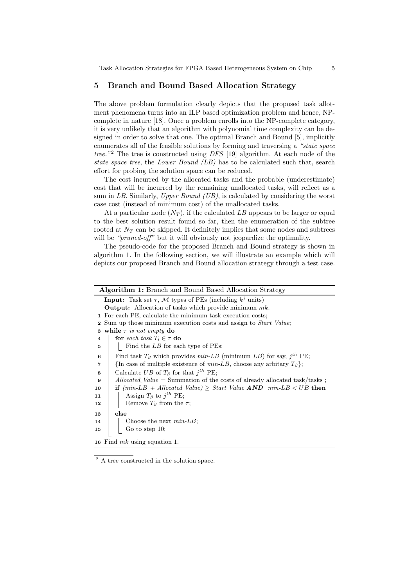## 5 Branch and Bound Based Allocation Strategy

The above problem formulation clearly depicts that the proposed task allotment phenomena turns into an ILP based optimization problem and hence, NPcomplete in nature [18]. Once a problem enrolls into the NP-complete category, it is very unlikely that an algorithm with polynomial time complexity can be designed in order to solve that one. The optimal Branch and Bound [5], implicitly enumerates all of the feasible solutions by forming and traversing a "state space tree."<sup>2</sup> The tree is constructed using DFS [19] algorithm. At each node of the state space tree, the Lower Bound (LB) has to be calculated such that, search effort for probing the solution space can be reduced.

The cost incurred by the allocated tasks and the probable (underestimate) cost that will be incurred by the remaining unallocated tasks, will reflect as a sum in LB. Similarly, Upper Bound (UB), is calculated by considering the worst case cost (instead of minimum cost) of the unallocated tasks.

At a particular node  $(N_T)$ , if the calculated LB appears to be larger or equal to the best solution result found so far, then the enumeration of the subtree rooted at  $N_T$  can be skipped. It definitely implies that some nodes and subtrees will be "*pruned-off"* but it will obviously not jeopardize the optimality.

The pseudo-code for the proposed Branch and Bound strategy is shown in algorithm 1. In the following section, we will illustrate an example which will depicts our proposed Branch and Bound allocation strategy through a test case.

|    | <b>Algorithm 1:</b> Branch and Bound Based Allocation Strategy                                      |
|----|-----------------------------------------------------------------------------------------------------|
|    | <b>Input:</b> Task set $\tau$ , M types of PEs (including $k^j$ units)                              |
|    | <b>Output:</b> Allocation of tasks which provide minimum $mk$ .                                     |
|    | 1 For each PE, calculate the minimum task execution costs;                                          |
|    | Sum up those minimum execution costs and assign to <i>Start_Value</i> ;                             |
| 3  | while $\tau$ is not empty do                                                                        |
| 4  | for each task $T_i \in \tau$ do                                                                     |
| 5  | Find the $LB$ for each type of PEs;                                                                 |
| 6  | Find task $T_{\beta}$ which provides $min\text{-}LB$ (minimum LB) for say, $j^{th}$ PE;             |
| 7  | {In case of multiple existence of $min-LB$ , choose any arbitrary $T_{\beta}$ };                    |
| 8  | Calculate UB of $T_\beta$ for that $j^{th}$ PE;                                                     |
| 9  | $\textit{Allocated\_Value} = \text{Summation of the costs of already allocated task/tasks};$        |
| 10 | <b>if</b> $(min-LB + Allocated\_Value) \geq Start\_Value \textbf{ AND } min-LB < UB \textbf{ then}$ |
| 11 | Assign $T_{\beta}$ to $j^{th}$ PE;                                                                  |
| 12 | Remove $T_{\beta}$ from the $\tau$ ;                                                                |
| 13 | else                                                                                                |
| 14 | Choose the next $min\text{-}LB;$                                                                    |
| 15 | Go to step 10;                                                                                      |
|    | 16 Find $mk$ using equation 1.                                                                      |

 $^{\rm 2}$  A tree constructed in the solution space.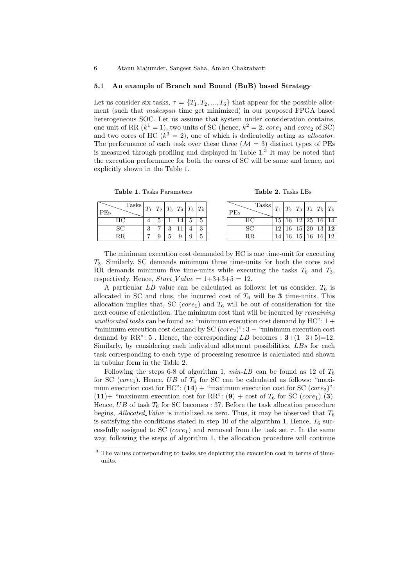#### 6 Atanu Majumder, Sangeet Saha, Amlan Chakrabarti

#### 5.1 An example of Branch and Bound (BnB) based Strategy

Let us consider six tasks,  $\tau = \{T_1, T_2, ..., T_6\}$  that appear for the possible allotment (such that makespan time get minimized) in our proposed FPGA based heterogeneous SOC. Let us assume that system under consideration contains, one unit of RR  $(k<sup>1</sup> = 1)$ , two units of SC (hence,  $k<sup>2</sup> = 2$ ; core<sub>1</sub> and core<sub>2</sub> of SC) and two cores of HC  $(k^3 = 2)$ , one of which is dedicatedly acting as allocator. The performance of each task over these three  $(M = 3)$  distinct types of PEs is measured through profiling and displayed in Table  $1<sup>3</sup>$  It may be noted that the execution performance for both the cores of SC will be same and hence, not explicitly shown in the Table 1.

Table 1. Tasks Parameters

Table 2. Tasks LBs

| Tasks<br>$_{\rm PEs}$ | $\tau$        | $T_2$ |   | $T_3  T_4  T_5 $ | $T_6$ | Tasks<br>₽Es | $T_1$ | $T_2$         | $T_3$ | $T_4 T_5$ |                                        | $\, T_6 \,$ |
|-----------------------|---------------|-------|---|------------------|-------|--------------|-------|---------------|-------|-----------|----------------------------------------|-------------|
| HC                    | 4             |       |   |                  | 5     | HC           |       | $\mathcal{L}$ | 1 ດ   | 25        | $\mathcal{L}$                          | 14.         |
| SC                    | $\Omega$<br>ω |       |   |                  | 3     | SC           | 19    | $\epsilon$    |       | ാ∩        | 19                                     | 12          |
|                       | −             |       | U |                  | 5     | RR           | !4    | 16            | 15    | 16.       | $\mathbf{1}$ $\mathbf{6}$ $\mathbf{1}$ | 12          |

The minimum execution cost demanded by HC is one time-unit for executing  $T_3$ . Similarly, SC demands minimum three time-units for both the cores and RR demands minimum five time-units while executing the tasks  $T_6$  and  $T_3$ , respectively. Hence,  $Start\_Value = 1+3+3+5 = 12$ .

A particular  $LB$  value can be calculated as follows: let us consider,  $T_6$  is allocated in SC and thus, the incurred cost of  $T_6$  will be 3 time-units. This allocation implies that, SC ( $core_1$ ) and  $T_6$  will be out of consideration for the next course of calculation. The minimum cost that will be incurred by *remaining* unallocated tasks can be found as: "minimum execution cost demand by  $HC$ ": 1 + "minimum execution cost demand by SC  $(core<sub>2</sub>)$ ": 3 + "minimum execution cost demand by RR": 5. Hence, the corresponding LB becomes :  $3+(1+3+5)=12$ . Similarly, by considering each individual allotment possibilities, LBs for each task corresponding to each type of processing resource is calculated and shown in tabular form in the Table 2.

Following the steps 6-8 of algorithm 1,  $min$ -LB can be found as 12 of  $T_6$ for SC ( $core_1$ ). Hence,  $UB$  of  $T_6$  for SC can be calculated as follows: "maximum execution cost for HC":  $(14)$  + "maximum execution cost for SC (core<sub>2</sub>)": (11)+ "maximum execution cost for RR":  $(9)$  + cost of  $T_6$  for SC (core<sub>1</sub>) (3). Hence,  $UB$  of task  $T_6$  for SC becomes : 37. Before the task allocation procedure begins, Allocated Value is initialized as zero. Thus, it may be observed that  $T_6$ is satisfying the conditions stated in step 10 of the algorithm 1. Hence,  $T_6$  successfully assigned to SC (core<sub>1</sub>) and removed from the task set  $\tau$ . In the same way, following the steps of algorithm 1, the allocation procedure will continue

 $^3$  The values corresponding to tasks are depicting the execution cost in terms of timeunits.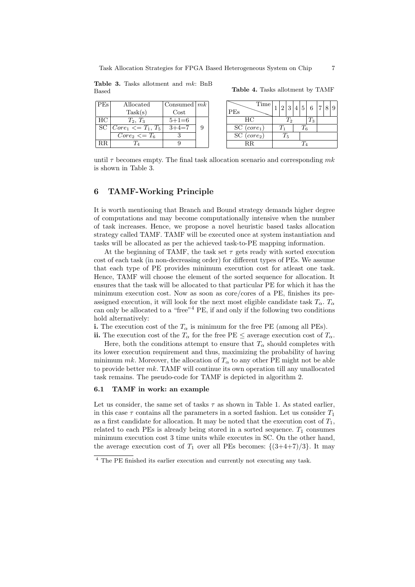Table 3. Tasks allotment and  $mk$ : BnB Based

| PEs         | Allocated                                  | Consumed $ mk $ |   | Time                   |       |  | 2 3 4 5 6 7 8 9 |  |  |
|-------------|--------------------------------------------|-----------------|---|------------------------|-------|--|-----------------|--|--|
|             | Task(s)                                    | $\rm Cost$      |   | PEs                    |       |  |                 |  |  |
| HC.         | $T_2, T_3$                                 | $5+1=6$         |   | HC                     |       |  | 13              |  |  |
|             | SC $\vert Core_1 \langle = T_1, T_5 \vert$ | $3+4=7$         | 9 | SC(core <sub>1</sub> ) | $T_1$ |  |                 |  |  |
|             | $Core_2 \leq T_6$                          |                 |   | SC(core <sub>2</sub> ) |       |  |                 |  |  |
| $_{\rm RR}$ |                                            |                 |   | RR                     |       |  |                 |  |  |
|             |                                            |                 |   |                        |       |  |                 |  |  |

Table 4. Tasks allotment by TAMF

until  $\tau$  becomes empty. The final task allocation scenario and corresponding  $mk$ is shown in Table 3.

## 6 TAMF-Working Principle

It is worth mentioning that Branch and Bound strategy demands higher degree of computations and may become computationally intensive when the number of task increases. Hence, we propose a novel heuristic based tasks allocation strategy called TAMF. TAMF will be executed once at system instantiation and tasks will be allocated as per the achieved task-to-PE mapping information.

At the beginning of TAMF, the task set  $\tau$  gets ready with sorted execution cost of each task (in non-decreasing order) for different types of PEs. We assume that each type of PE provides minimum execution cost for atleast one task. Hence, TAMF will choose the element of the sorted sequence for allocation. It ensures that the task will be allocated to that particular PE for which it has the minimum execution cost. Now as soon as core/cores of a PE, finishes its preassigned execution, it will look for the next most eligible candidate task  $T_{\alpha}$ .  $T_{\alpha}$ can only be allocated to a "free"<sup>4</sup> PE, if and only if the following two conditions hold alternatively:

i. The execution cost of the  $T_{\alpha}$  is minimum for the free PE (among all PEs).

ii. The execution cost of the  $T_{\alpha}$  for the free PE  $\leq$  average execution cost of  $T_{\alpha}$ .

Here, both the conditions attempt to ensure that  $T_{\alpha}$  should completes with its lower execution requirement and thus, maximizing the probability of having minimum mk. Moreover, the allocation of  $T_{\alpha}$  to any other PE might not be able to provide better  $mk$ . TAMF will continue its own operation till any unallocated task remains. The pseudo-code for TAMF is depicted in algorithm 2.

#### 6.1 TAMF in work: an example

Let us consider, the same set of tasks  $\tau$  as shown in Table 1. As stated earlier, in this case  $\tau$  contains all the parameters in a sorted fashion. Let us consider  $T_1$ as a first candidate for allocation. It may be noted that the execution cost of  $T_1$ , related to each PEs is already being stored in a sorted sequence.  $T_1$  consumes minimum execution cost 3 time units while executes in SC. On the other hand, the average execution cost of  $T_1$  over all PEs becomes:  $\{(3+4+7)/3\}$ . It may

<sup>4</sup> The PE finished its earlier execution and currently not executing any task.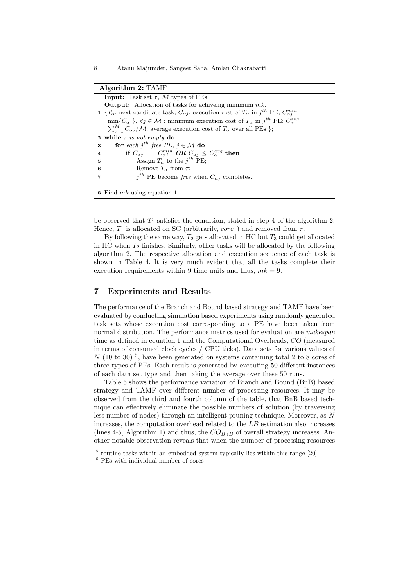| <b>Algorithm 2: TAMF</b> |                                                |  |  |  |  |  |  |  |  |  |
|--------------------------|------------------------------------------------|--|--|--|--|--|--|--|--|--|
|                          | <b>Input:</b> Task set $\tau$ , M types of PEs |  |  |  |  |  |  |  |  |  |

**Output:** Allocation of tasks for achiveing minimum  $mk$ . 1  $\{T_{\alpha}:\text{next candidate task}; C_{\alpha j}:\text{execution cost of }T_{\alpha}\text{ in }j^{th}\text{ PE}; C_{\alpha j}^{min}=\}$  $\min\{C_{\alpha j}\}, \forall j \in \mathcal{M} : \text{minimum execution cost of } T_{\alpha} \text{ in } j^{th} \text{ PE}; C_{\alpha}^{avg} = \sum_{i=1}^{M} C_{\alpha j} / \mathcal{M}$ : average execution cost of  $T_{\alpha}$  over all PEs  $\}$ ;  $\sum_{j=1}^{M} C_{\alpha j} / \mathcal{M}$ : average execution cost of  $T_{\alpha}$  over all PEs }; 2 while  $\tau$  is not empty do 3 for each j<sup>th</sup> free PE,  $j \in \mathcal{M}$  do 4 if Cαj == C min αj OR Cαj ≤ C avg <sup>α</sup> then 5 | | Assign  $T_{\alpha}$  to the  $j^{th}$  PE; 6 | | | Remove  $T_{\alpha}$  from  $\tau$ ;  $\mathbf{z}$  j j  $j^{th}$  PE become free when  $C_{\alpha j}$  completes.; 8 Find mk using equation 1;

be observed that  $T_1$  satisfies the condition, stated in step 4 of the algorithm 2. Hence,  $T_1$  is allocated on SC (arbitrarily, core<sub>1</sub>) and removed from  $\tau$ .

By following the same way,  $T_2$  gets allocated in HC but  $T_3$  could get allocated in HC when  $T_2$  finishes. Similarly, other tasks will be allocated by the following algorithm 2. The respective allocation and execution sequence of each task is shown in Table 4. It is very much evident that all the tasks complete their execution requirements within 9 time units and thus,  $mk = 9$ .

## 7 Experiments and Results

The performance of the Branch and Bound based strategy and TAMF have been evaluated by conducting simulation based experiments using randomly generated task sets whose execution cost corresponding to a PE have been taken from normal distribution. The performance metrics used for evaluation are *makespan* time as defined in equation 1 and the Computational Overheads, CO (measured in terms of consumed clock cycles / CPU ticks). Data sets for various values of  $N$  (10 to 30)<sup>5</sup>, have been generated on systems containing total 2 to 8 cores of three types of PEs. Each result is generated by executing 50 different instances of each data set type and then taking the average over these 50 runs.

Table 5 shows the performance variation of Branch and Bound (BnB) based strategy and TAMF over different number of processing resources. It may be observed from the third and fourth column of the table, that BnB based technique can effectively eliminate the possible numbers of solution (by traversing less number of nodes) through an intelligent pruning technique. Moreover, as N increases, the computation overhead related to the  $LB$  estimation also increases (lines 4-5, Algorithm 1) and thus, the  $CO_{BnB}$  of overall strategy increases. Another notable observation reveals that when the number of processing resources

<sup>&</sup>lt;sup>5</sup> routine tasks within an embedded system typically lies within this range [20]

 $^6$  PEs with individual number of cores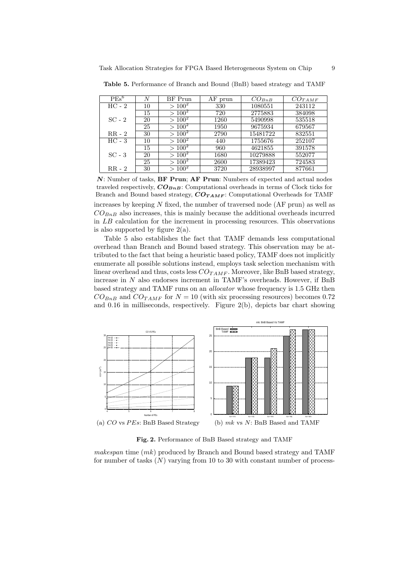| $PEs^6$  | N  | BF Prun   | AF prun | $CO_{BnB}$ | $CO_{TAMF}$ |
|----------|----|-----------|---------|------------|-------------|
| $HC - 2$ | 10 | $> 100^2$ | 330     | 1080551    | 243112      |
|          | 15 | $> 100^2$ | 720     | 2775883    | 384098      |
| $SC - 2$ | 20 | $> 100^2$ | 1260    | 5490998    | 535518      |
|          | 25 | $> 100^2$ | 1950    | 9675934    | 679567      |
| $RR - 2$ | 30 | $> 100^2$ | 2790    | 15481722   | 832551      |
| $HC - 3$ | 10 | $> 100^2$ | 440     | 1755676    | 252107      |
|          | 15 | $> 100^2$ | 960     | 4621855    | 391578      |
| $SC - 3$ | 20 | $> 100^2$ | 1680    | 10279888   | 552077      |
|          | 25 | $> 100^2$ | 2600    | 17389423   | 724583      |
| $RR - 2$ | 30 | $> 100^2$ | 3720    | 28938997   | 877661      |

Table 5. Performance of Branch and Bound (BnB) based strategy and TAMF

 $N:$  Number of tasks,  $BF$  Prun;  $AF$  Prun: Numbers of expected and actual nodes traveled respectively,  $CO_{BnB}$ : Computational overheads in terms of Clock ticks for Branch and Bound based strategy,  $CO_{TAMF}$ : Computational Overheads for TAMF

increases by keeping  $N$  fixed, the number of traversed node (AF prun) as well as  $CO_{BnB}$  also increases, this is mainly because the additional overheads incurred in LB calculation for the increment in processing resources. This observations is also supported by figure  $2(a)$ .

Table 5 also establishes the fact that TAMF demands less computational overhead than Branch and Bound based strategy. This observation may be attributed to the fact that being a heuristic based policy, TAMF does not implicitly enumerate all possible solutions instead, employs task selection mechanism with linear overhead and thus, costs less  $CO_{TAMF}$ . Moreover, like BnB based strategy, increase in  $N$  also endorses increment in TAMF's overheads. However, if  $\overline{BnB}$ based strategy and TAMF runs on an allocator whose frequency is 1.5 GHz then  $CO_{BnB}$  and  $CO_{TAMF}$  for  $N = 10$  (with six processing resources) becomes 0.72 and 0.16 in milliseconds, respectively. Figure 2(b), depicts bar chart showing



Fig. 2. Performance of BnB Based strategy and TAMF

makespan time  $(mk)$  produced by Branch and Bound based strategy and TAMF for number of tasks  $(N)$  varying from 10 to 30 with constant number of process-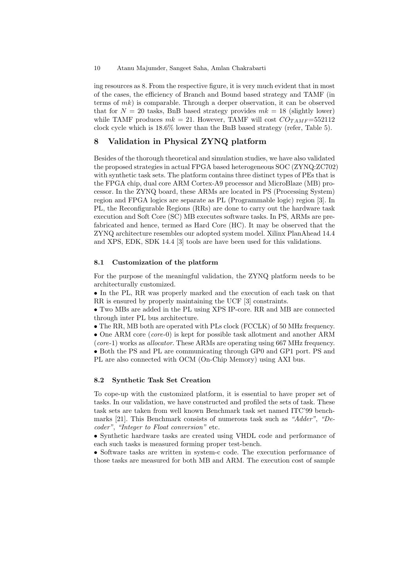#### 10 Atanu Majumder, Sangeet Saha, Amlan Chakrabarti

ing resources as 8. From the respective figure, it is very much evident that in most of the cases, the efficiency of Branch and Bound based strategy and TAMF (in terms of mk) is comparable. Through a deeper observation, it can be observed that for  $N = 20$  tasks, BnB based strategy provides  $mk = 18$  (slightly lower) while TAMF produces  $mk = 21$ . However, TAMF will cost  $CO_{TAMF} = 552112$ clock cycle which is 18.6% lower than the BnB based strategy (refer, Table 5).

## 8 Validation in Physical ZYNQ platform

Besides of the thorough theoretical and simulation studies, we have also validated the proposed strategies in actual FPGA based heterogeneous SOC (ZYNQ:ZC702) with synthetic task sets. The platform contains three distinct types of PEs that is the FPGA chip, dual core ARM Cortex-A9 processor and MicroBlaze (MB) processor. In the ZYNQ board, these ARMs are located in PS (Processing System) region and FPGA logics are separate as PL (Programmable logic) region [3]. In PL, the Reconfigurable Regions (RRs) are done to carry out the hardware task execution and Soft Core (SC) MB executes software tasks. In PS, ARMs are prefabricated and hence, termed as Hard Core (HC). It may be observed that the ZYNQ architecture resembles our adopted system model. Xilinx PlanAhead 14.4 and XPS, EDK, SDK 14.4 [3] tools are have been used for this validations.

## 8.1 Customization of the platform

For the purpose of the meaningful validation, the ZYNQ platform needs to be architecturally customized.

• In the PL, RR was properly marked and the execution of each task on that RR is ensured by properly maintaining the UCF [3] constraints.

• Two MBs are added in the PL using XPS IP-core. RR and MB are connected through inter PL bus architecture.

• The RR, MB both are operated with PLs clock (FCCLK) of 50 MHz frequency.

• One ARM core (core-0) is kept for possible task allotment and another ARM (core-1) works as allocator. These ARMs are operating using 667 MHz frequency. • Both the PS and PL are communicating through GP0 and GP1 port. PS and PL are also connected with OCM (On-Chip Memory) using AXI bus.

#### 8.2 Synthetic Task Set Creation

To cope-up with the customized platform, it is essential to have proper set of tasks. In our validation, we have constructed and profiled the sets of task. These task sets are taken from well known Benchmark task set named ITC'99 benchmarks [21]. This Benchmark consists of numerous task such as "Adder", "Decoder", "Integer to Float conversion" etc.

• Synthetic hardware tasks are created using VHDL code and performance of each such tasks is measured forming proper test-bench.

• Software tasks are written in system-c code. The execution performance of those tasks are measured for both MB and ARM. The execution cost of sample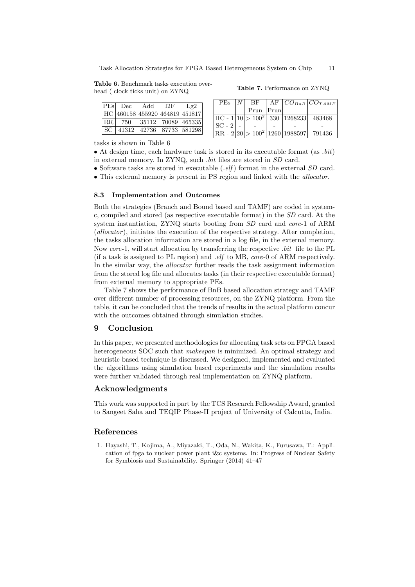Table 6. Benchmark tasks execution overhead ( clock ticks unit) on ZYNQ

| PEs  Dec   Add   I2F                |  | Lg2                            | <b>PEs</b>       | N <sub>1</sub> |      |      | $BF$   AF $ CO_{BnB} CO_{TAMF}$                             |
|-------------------------------------|--|--------------------------------|------------------|----------------|------|------|-------------------------------------------------------------|
|                                     |  | HC 460158 455920 464819 451817 |                  |                | Prun | Prun |                                                             |
|                                     |  |                                |                  |                |      |      | $\overline{HC} - 1\overline{10} > 100^2$ 330 1268233 483468 |
| RR   750                            |  | 35112   70089   465335         | $ SC - 2 $ - $ $ |                |      |      |                                                             |
| SC   41312   42736   87733   581298 |  |                                |                  |                |      |      | $ RR - 2 20  > 100^2  1260 1988597$ 791436                  |
|                                     |  |                                |                  |                |      |      |                                                             |

Table 7. Performance on ZYNQ

tasks is shown in Table 6

- At design time, each hardware task is stored in its executable format (as  $. bit)$ ) in external memory. In ZYNQ, such .bit files are stored in SD card.
- Software tasks are stored in executable  $(e \ell t)$  format in the external SD card.
- This external memory is present in PS region and linked with the allocator.

#### 8.3 Implementation and Outcomes

Both the strategies (Branch and Bound based and TAMF) are coded in systemc, compiled and stored (as respective executable format) in the SD card. At the system instantiation, ZYNQ starts booting from SD card and core-1 of ARM  $(allocation$ , initiates the execution of the respective strategy. After completion, the tasks allocation information are stored in a log file, in the external memory. Now core-1, will start allocation by transferring the respective *bit* file to the PL (if a task is assigned to PL region) and .elf to MB, core-0 of ARM respectively. In the similar way, the *allocator* further reads the task assignment information from the stored log file and allocates tasks (in their respective executable format) from external memory to appropriate PEs.

Table 7 shows the performance of BnB based allocation strategy and TAMF over different number of processing resources, on the ZYNQ platform. From the table, it can be concluded that the trends of results in the actual platform concur with the outcomes obtained through simulation studies.

#### 9 Conclusion

In this paper, we presented methodologies for allocating task sets on FPGA based heterogeneous SOC such that *makespan* is minimized. An optimal strategy and heuristic based technique is discussed. We designed, implemented and evaluated the algorithms using simulation based experiments and the simulation results were further validated through real implementation on ZYNQ platform.

#### Acknowledgments

This work was supported in part by the TCS Research Fellowship Award, granted to Sangeet Saha and TEQIP Phase-II project of University of Calcutta, India.

### References

1. Hayashi, T., Kojima, A., Miyazaki, T., Oda, N., Wakita, K., Furusawa, T.: Application of fpga to nuclear power plant i&c systems. In: Progress of Nuclear Safety for Symbiosis and Sustainability. Springer (2014) 41–47